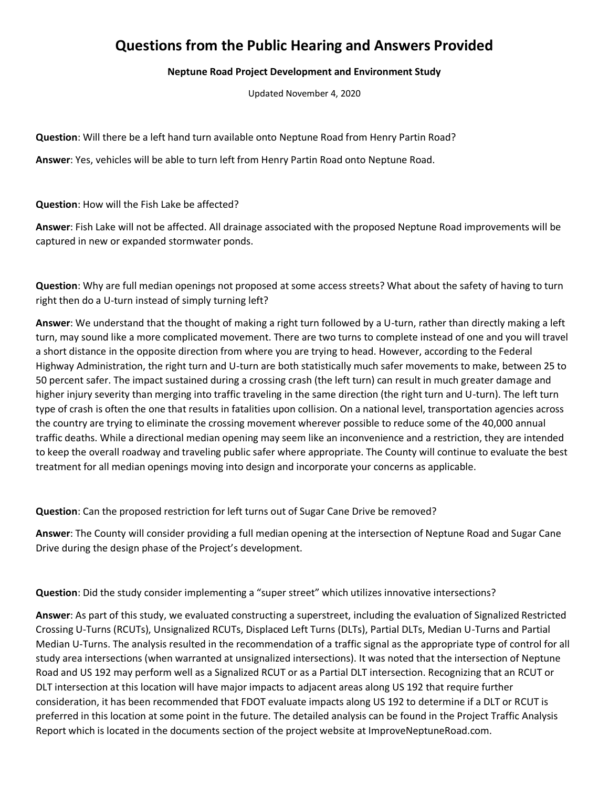## **Questions from the Public Hearing and Answers Provided**

## **Neptune Road Project Development and Environment Study**

Updated November 4, 2020

**Question**: Will there be a left hand turn available onto Neptune Road from Henry Partin Road?

**Answer**: Yes, vehicles will be able to turn left from Henry Partin Road onto Neptune Road.

**Question**: How will the Fish Lake be affected?

**Answer**: Fish Lake will not be affected. All drainage associated with the proposed Neptune Road improvements will be captured in new or expanded stormwater ponds.

**Question**: Why are full median openings not proposed at some access streets? What about the safety of having to turn right then do a U-turn instead of simply turning left?

**Answer**: We understand that the thought of making a right turn followed by a U-turn, rather than directly making a left turn, may sound like a more complicated movement. There are two turns to complete instead of one and you will travel a short distance in the opposite direction from where you are trying to head. However, according to the Federal Highway Administration, the right turn and U-turn are both statistically much safer movements to make, between 25 to 50 percent safer. The impact sustained during a crossing crash (the left turn) can result in much greater damage and higher injury severity than merging into traffic traveling in the same direction (the right turn and U-turn). The left turn type of crash is often the one that results in fatalities upon collision. On a national level, transportation agencies across the country are trying to eliminate the crossing movement wherever possible to reduce some of the 40,000 annual traffic deaths. While a directional median opening may seem like an inconvenience and a restriction, they are intended to keep the overall roadway and traveling public safer where appropriate. The County will continue to evaluate the best treatment for all median openings moving into design and incorporate your concerns as applicable.

**Question**: Can the proposed restriction for left turns out of Sugar Cane Drive be removed?

**Answer**: The County will consider providing a full median opening at the intersection of Neptune Road and Sugar Cane Drive during the design phase of the Project's development.

**Question**: Did the study consider implementing a "super street" which utilizes innovative intersections?

**Answer**: As part of this study, we evaluated constructing a superstreet, including the evaluation of Signalized Restricted Crossing U-Turns (RCUTs), Unsignalized RCUTs, Displaced Left Turns (DLTs), Partial DLTs, Median U-Turns and Partial Median U-Turns. The analysis resulted in the recommendation of a traffic signal as the appropriate type of control for all study area intersections (when warranted at unsignalized intersections). It was noted that the intersection of Neptune Road and US 192 may perform well as a Signalized RCUT or as a Partial DLT intersection. Recognizing that an RCUT or DLT intersection at this location will have major impacts to adjacent areas along US 192 that require further consideration, it has been recommended that FDOT evaluate impacts along US 192 to determine if a DLT or RCUT is preferred in this location at some point in the future. The detailed analysis can be found in the Project Traffic Analysis Report which is located in the documents section of the project website at ImproveNeptuneRoad.com.